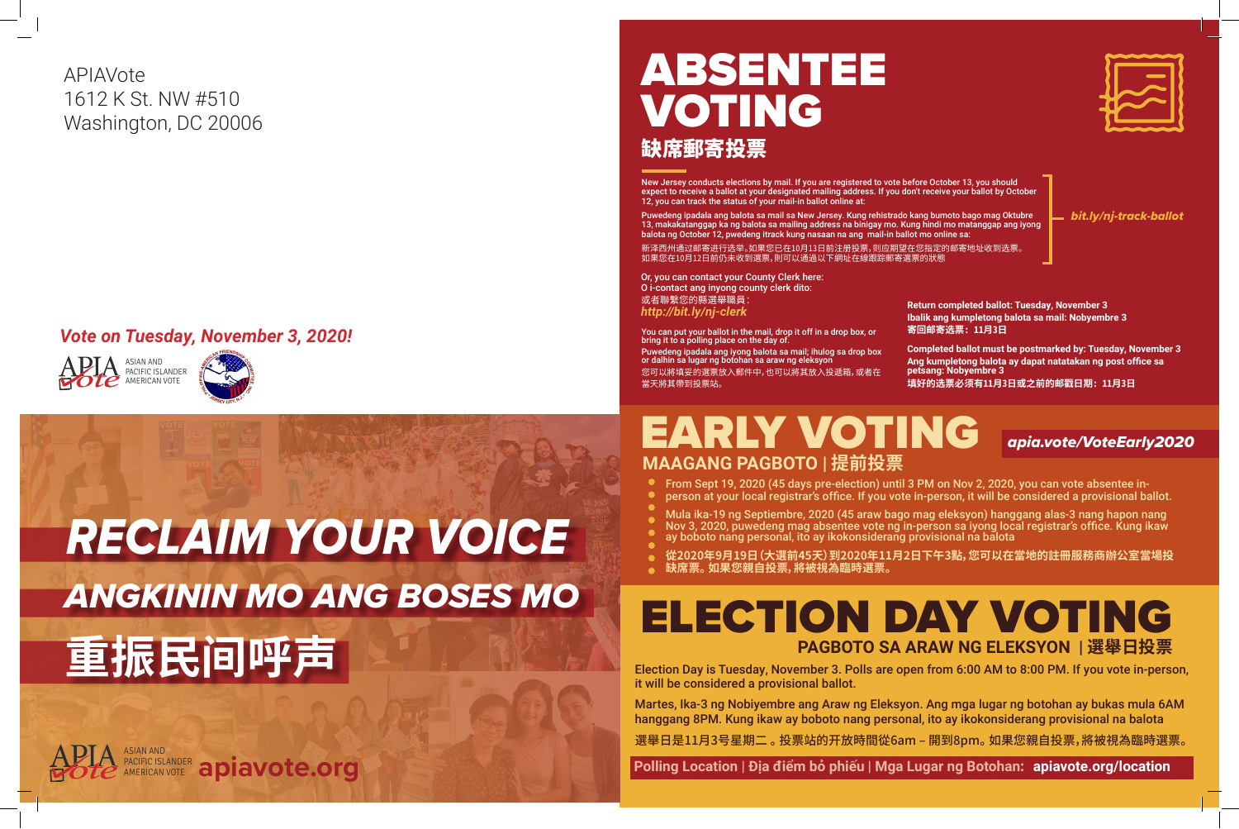

 **Polling Location | Địa điểm bỏ phiếu | Mga Lugar ng Botohan: apiavote.org/location**





# ABSENTEE VOTING 缺席郵寄投票

*bit.ly/nj-track-ballot*

New Jersey conducts elections by mail. If you are registered to vote before October 13, you should expect to receive a ballot at your designated mailing address. If you don't receive your ballot by October 12, you can track the status of your mail-in ballot online at:

Puwedeng ipadala ang balota sa mail sa New Jersey. Kung rehistrado kang bumoto bago mag Oktubre 13, makakatanggap ka ng balota sa mailing address na binigay mo. Kung hindi mo matanggap ang iyong balota ng October 12, pwedeng itrack kung nasaan na ang mail-in ballot mo online sa:

新泽西州通过邮寄进行选举。如果您已在10月13日前注册投票,则应期望在您指定的邮寄地址收到选票。 如果您在10月12日前仍未收到選票,則可以通過以下網址在線跟踪郵寄選票的狀態

> **Return completed ballot: Tuesday, November 3 Ibalik ang kumpletong balota sa mail: Nobyembre 3 寄回邮寄选票: 11月3日**

# EARLY VOTING *apia.vote/VoteEarly2020* **MAAGANG PAGBOTO | 提前投票**

**Completed ballot must be postmarked by: Tuesday, November 3 Ang kumpletong balota ay dapat natatakan ng post office sa petsang: Nobyembre 3 填好的选票必须有11月3日或之前的邮戳日期: 11月3日**





### *Vote on Tuesday, November 3, 2020!*



APIAVote 1612 K St. NW #510 Washington, DC 20006

# *ANGKININ MO ANG BOSES MO RECLAIM YOUR VOICE* **重振民间呼声**

You can put your ballot in the mail, drop it off in a drop box, or bring it to a polling place on the day of. Puwedeng ipadala ang iyong balota sa mail; ihulog sa drop box or dalhin sa lugar ng botohan sa araw ng eleksyon 您可以將填妥的選票放入郵件中,也可以將其放入投遞箱,或者在 當天將其帶到投票站。

Or, you can contact your County Clerk here: O i-contact ang inyong county clerk dito: 或者聯繫您的縣選舉職員: *http://bit.ly/nj-clerk*

> From Sept 19, 2020 (45 days pre-election) until 3 PM on Nov 2, 2020, you can vote absentee inperson at your local registrar's office. If you vote in-person, it will be considered a provisional ballot.

> Mula ika-19 ng Septiembre, 2020 (45 araw bago mag eleksyon) hanggang alas-3 nang hapon nang Nov 3, 2020, puwedeng mag absentee vote ng in-person sa iyong local registrar's office. Kung ikaw ay boboto nang personal, ito ay ikokonsiderang provisional na balota

> **從2020年9月19日(大選前45天)到2020年11月2日下午3點,您可以在當地的註冊服務商辦公室當場投**

- 
- 
- 
- 
- 
- 
- **缺席票。 如果您親自投票,將被視為臨時選票。**

Election Day is Tuesday, November 3. Polls are open from 6:00 AM to 8:00 PM. If you vote in-person, it will be considered a provisional ballot.

Martes, Ika-3 ng Nobiyembre ang Araw ng Eleksyon. Ang mga lugar ng botohan ay bukas mula 6AM hanggang 8PM. Kung ikaw ay boboto nang personal, ito ay ikokonsiderang provisional na balota

選舉日是11月3号星期二 。 投票站的开放時間從6am – 開到8pm。 如果您親自投票,將被視為臨時選票。